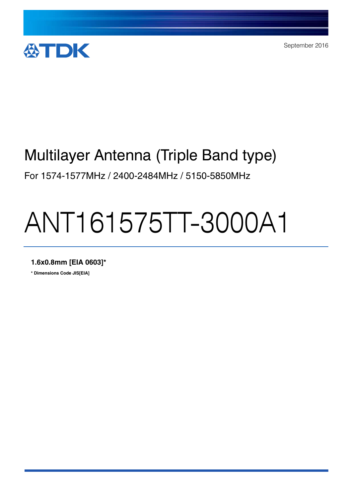

September 2016

# Multilayer Antenna (Triple Band type)

For 1574-1577MHz / 2400-2484MHz / 5150-5850MHz

# ANT161575TT-3000A1

### **1.6x0.8mm [EIA 0603]\***

**\* Dimensions Code JIS[EIA]**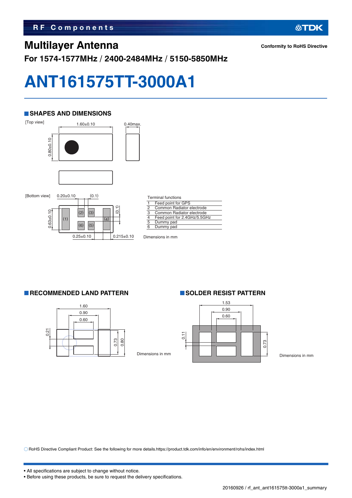### **Multilayer Antenna**

**For 1574-1577MHz / 2400-2484MHz / 5150-5850MHz**

**公TDK** 

# **ANT161575TT-3000A1**

### **SHAPES AND DIMENSIONS**



|                | <b>Terminal functions</b>    |  |  |  |  |  |  |
|----------------|------------------------------|--|--|--|--|--|--|
|                | Feed point for GPS           |  |  |  |  |  |  |
| 2              | Common Radiator electrode    |  |  |  |  |  |  |
| $\overline{3}$ | Common Radiator electrode    |  |  |  |  |  |  |
| $\overline{4}$ | Feed point for 2.4GHz/5.5GHz |  |  |  |  |  |  |
| 5              | Dummy pad                    |  |  |  |  |  |  |
| $\overline{6}$ | Dummy pad                    |  |  |  |  |  |  |
|                |                              |  |  |  |  |  |  |

Dimensions in mm

#### **RECOMMENDED LAND PATTERN SOLDER RESIST PATTERN**





Dimensions in mm

RoHS Directive Compliant Product: See the following for more details.https://product.tdk.com/info/en/environment/rohs/index.html

Dimensions in mm

• All specifications are subject to change without notice.

• Before using these products, be sure to request the delivery specifications.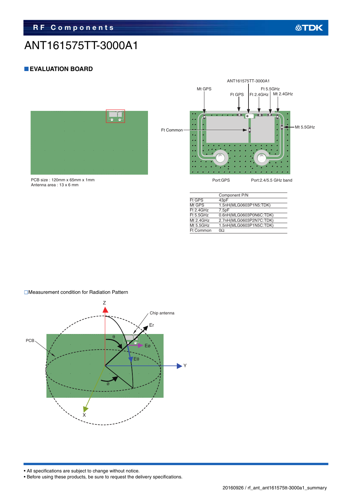### **EVALUATION BOARD**



PCB size : 120mm x 65mm x 1mm Antenna area : 13 x 6 mm



|                  | Component P/N           |
|------------------|-------------------------|
| Ft GPS           | 43pF                    |
| Mt GPS           | 1.5nH(MLG0603P1N5:TDK)  |
| Ft 2.4GHz        | 7.5pF                   |
| <b>Ft 5.5GHz</b> | 0.6nH(MLG0603P0N6C:TDK) |
| Mt 2.4GHz        | 2.7nH(MLG0603P2N7C:TDK) |
| Mt 5.5GHz        | 1.5nH(MLG0603P1N5C:TDK) |
| Ft Common        | 0Q                      |

#### Measurement condition for Radiation Pattern



• All specifications are subject to change without notice.

• Before using these products, be sure to request the delivery specifications.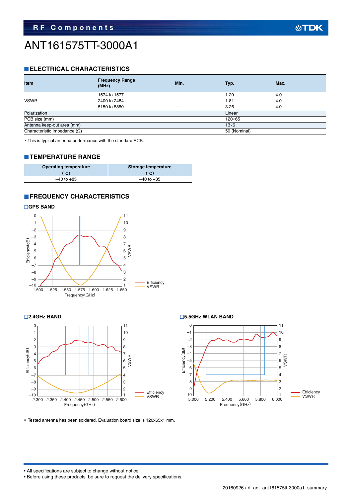#### **ELECTRICAL CHARACTERISTICS**

| <b>Item</b>                         | <b>Frequency Range</b><br>(MHz) | Min. | Typ.         | Max. |  |
|-------------------------------------|---------------------------------|------|--------------|------|--|
|                                     | 1574 to 1577                    |      | .20          | 4.0  |  |
| <b>VSWR</b>                         | 2400 to 2484                    |      | 1.81         | 4.0  |  |
|                                     | 5150 to 5850                    |      | 3.26         | 4.0  |  |
| Polarization                        |                                 |      | Linear       |      |  |
| PCB size (mm)                       |                                 |      | 120×65       |      |  |
| Antenna keep-out area (mm)          |                                 |      | $13\times 6$ |      |  |
| Characteristic Impedance $(\Omega)$ |                                 |      | 50 (Nominal) |      |  |

・This is typical antenna performance with the standard PCB.

#### **TEMPERATURE RANGE**

| <b>Operating temperature</b> | Storage temperature |
|------------------------------|---------------------|
| (°C)                         | (°C)                |
| $-40$ to $+85$               | $-40$ to $+85$      |

#### **FREQUENCY CHARACTERISTICS**









**2.4GHz BAND 5.5GHz WLAN BAND**



• Tested antenna has been soldered. Evaluation board size is 120x65x1 mm.

<sup>•</sup> Before using these products, be sure to request the delivery specifications.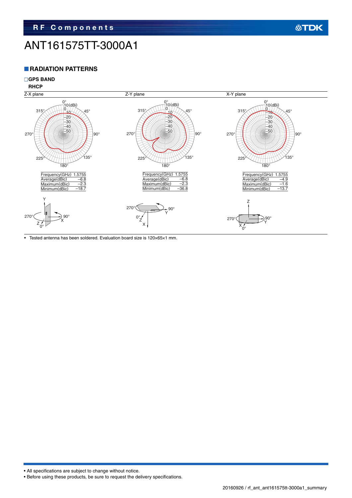### **RADIATION PATTERNS**

#### **GPS BAND**





• Tested antenna has been soldered. Evaluation board size is 120×65×1 mm.

<sup>•</sup> Before using these products, be sure to request the delivery specifications.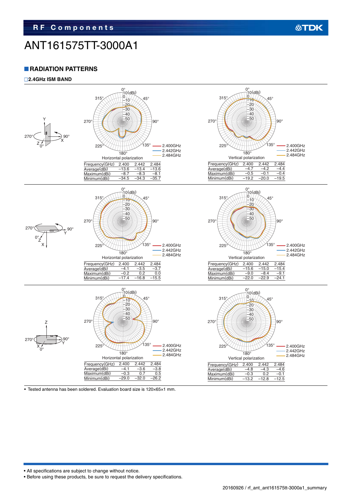#### **RADIATION PATTERNS**

#### **2.4GHz ISM BAND**



• Tested antenna has been soldered. Evaluation board size is 120×65×1 mm.

<sup>•</sup> Before using these products, be sure to request the delivery specifications.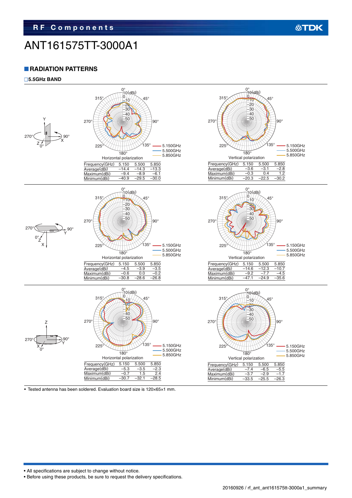### **RADIATION PATTERNS**

**5.5GHz BAND**



• Tested antenna has been soldered. Evaluation board size is 120×65×1 mm.

<sup>•</sup> Before using these products, be sure to request the delivery specifications.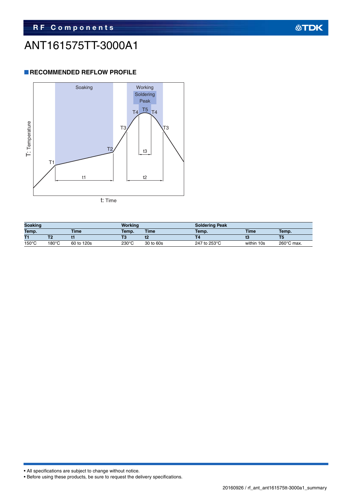### **RECOMMENDED REFLOW PROFILE**



t: Time

| <b>Soaking</b>  |                 |             | <b>Working</b>  |             | <b>Soldering Peak</b> |             |                      |
|-----------------|-----------------|-------------|-----------------|-------------|-----------------------|-------------|----------------------|
| Temp.           |                 | <b>Time</b> | Temp.           | <b>Time</b> | Temp.                 | <b>Time</b> | Temp.                |
| Ŧ4              | T2              |             |                 |             |                       |             |                      |
| $150^{\circ}$ C | $180^{\circ}$ C | 60 to 120s  | $230^{\circ}$ C | 30 to 60s   | 247 to 253°C          | within 10s  | $260^{\circ}$ C max. |

<sup>•</sup> Before using these products, be sure to request the delivery specifications.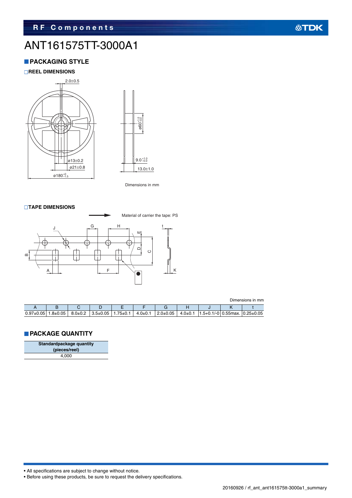### **PACKAGING STYLE**

#### **REEL DIMENSIONS**



Dimensions in mm

#### **TAPE DIMENSIONS**



| Dimensions in mm |              |               |                |            |               |                 |             |                           |                 |
|------------------|--------------|---------------|----------------|------------|---------------|-----------------|-------------|---------------------------|-----------------|
|                  |              |               |                | -          |               |                 |             |                           |                 |
| $0.97 + 0.05$    | $1.8 + 0.05$ | $8.0 \pm 0.2$ | $3.5 \pm 0.05$ | · 75±0.1∍، | $4.0 \pm 0.1$ | $12.0 \pm 0.05$ | $4.0 + 0.1$ | $1.5 + 0.1 - 010.55$ max. | $0.25 \pm 0.05$ |

### **PACKAGE QUANTITY**

| Standardpackage quantity |  |  |  |  |  |
|--------------------------|--|--|--|--|--|
| (pieces/reel)            |  |  |  |  |  |
| 4.000                    |  |  |  |  |  |

• All specifications are subject to change without notice.

• Before using these products, be sure to request the delivery specifications.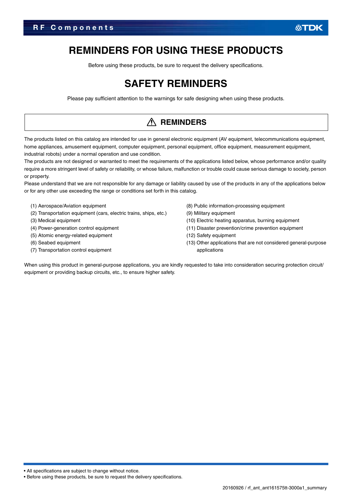### **REMINDERS FOR USING THESE PRODUCTS**

Before using these products, be sure to request the delivery specifications.

### **SAFETY REMINDERS**

Please pay sufficient attention to the warnings for safe designing when using these products.

### **REMINDERS**

The products listed on this catalog are intended for use in general electronic equipment (AV equipment, telecommunications equipment, home appliances, amusement equipment, computer equipment, personal equipment, office equipment, measurement equipment, industrial robots) under a normal operation and use condition.

The products are not designed or warranted to meet the requirements of the applications listed below, whose performance and/or quality require a more stringent level of safety or reliability, or whose failure, malfunction or trouble could cause serious damage to society, person or property.

Please understand that we are not responsible for any damage or liability caused by use of the products in any of the applications below or for any other use exceeding the range or conditions set forth in this catalog.

- (1) Aerospace/Aviation equipment
- (2) Transportation equipment (cars, electric trains, ships, etc.)
- (3) Medical equipment
- (4) Power-generation control equipment
- (5) Atomic energy-related equipment
- (6) Seabed equipment
- (7) Transportation control equipment
- (8) Public information-processing equipment
- (9) Military equipment
- (10) Electric heating apparatus, burning equipment
- (11) Disaster prevention/crime prevention equipment
- (12) Safety equipment
- (13) Other applications that are not considered general-purpose applications

When using this product in general-purpose applications, you are kindly requested to take into consideration securing protection circuit/ equipment or providing backup circuits, etc., to ensure higher safety.

<sup>•</sup> Before using these products, be sure to request the delivery specifications.